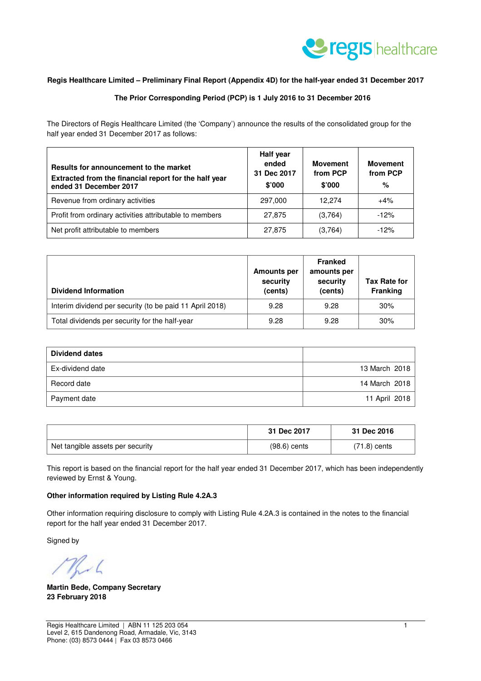

#### **Regis Healthcare Limited – Preliminary Final Report (Appendix 4D) for the half-year ended 31 December 2017**

#### **The Prior Corresponding Period (PCP) is 1 July 2016 to 31 December 2016**

The Directors of Regis Healthcare Limited (the 'Company') announce the results of the consolidated group for the half year ended 31 December 2017 as follows:

| Results for announcement to the market<br>Extracted from the financial report for the half year<br>ended 31 December 2017 | <b>Half year</b><br>ended<br>31 Dec 2017<br>\$'000 | <b>Movement</b><br>from PCP<br>\$'000 | <b>Movement</b><br>from PCP<br>% |
|---------------------------------------------------------------------------------------------------------------------------|----------------------------------------------------|---------------------------------------|----------------------------------|
| Revenue from ordinary activities                                                                                          | 297,000                                            | 12.274                                | $+4%$                            |
| Profit from ordinary activities attributable to members                                                                   | 27,875                                             | (3,764)                               | $-12%$                           |
| Net profit attributable to members                                                                                        | 27,875                                             | (3,764)                               | $-12%$                           |

| <b>Dividend Information</b>                              | <b>Amounts per</b><br>security<br>(cents) | <b>Franked</b><br>amounts per<br>security<br>(cents) | <b>Tax Rate for</b><br><b>Franking</b> |
|----------------------------------------------------------|-------------------------------------------|------------------------------------------------------|----------------------------------------|
| Interim dividend per security (to be paid 11 April 2018) | 9.28                                      | 9.28                                                 | 30%                                    |
| Total dividends per security for the half-year           | 9.28                                      | 9.28                                                 | 30%                                    |

| <b>Dividend dates</b> |               |
|-----------------------|---------------|
| Ex-dividend date      | 13 March 2018 |
| Record date           | 14 March 2018 |
| Payment date          | 11 April 2018 |

|                                  | 31 Dec 2017    | 31 Dec 2016    |
|----------------------------------|----------------|----------------|
| Net tangible assets per security | $(98.6)$ cents | $(71.8)$ cents |

This report is based on the financial report for the half year ended 31 December 2017, which has been independently reviewed by Ernst & Young.

#### **Other information required by Listing Rule 4.2A.3**

Other information requiring disclosure to comply with Listing Rule 4.2A.3 is contained in the notes to the financial report for the half year ended 31 December 2017.

Signed by

 $\sim$ 

**Martin Bede, Company Secretary 23 February 2018**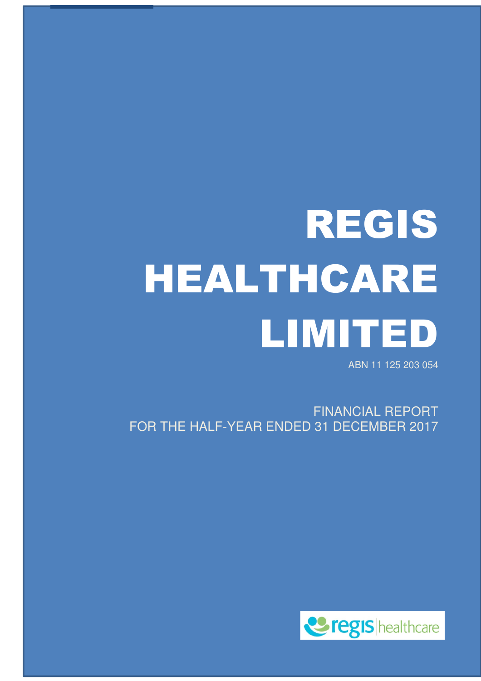# REGIS HEALTHCARE LIMITED

ABN 11 125 203 054

FINANCIAL REPORT FOR THE HALF-YEAR ENDED 31 DECEMBER 2017

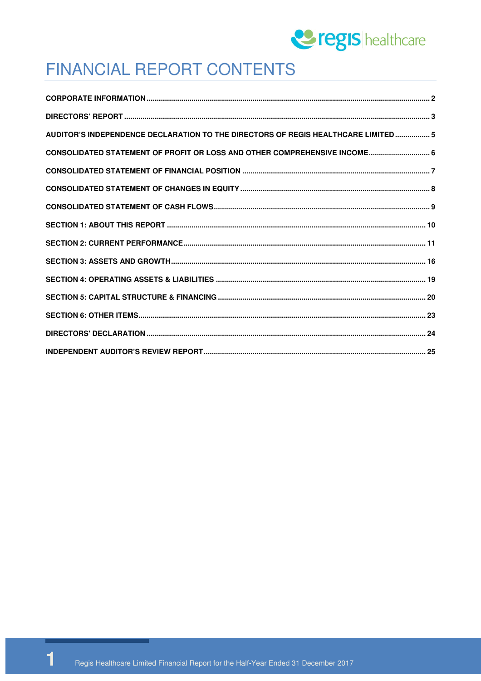

### FINANCIAL REPORT CONTENTS

| AUDITOR'S INDEPENDENCE DECLARATION TO THE DIRECTORS OF REGIS HEALTHCARE LIMITED 5 |  |
|-----------------------------------------------------------------------------------|--|
| CONSOLIDATED STATEMENT OF PROFIT OR LOSS AND OTHER COMPREHENSIVE INCOME 6         |  |
|                                                                                   |  |
|                                                                                   |  |
|                                                                                   |  |
|                                                                                   |  |
|                                                                                   |  |
|                                                                                   |  |
|                                                                                   |  |
|                                                                                   |  |
|                                                                                   |  |
|                                                                                   |  |
|                                                                                   |  |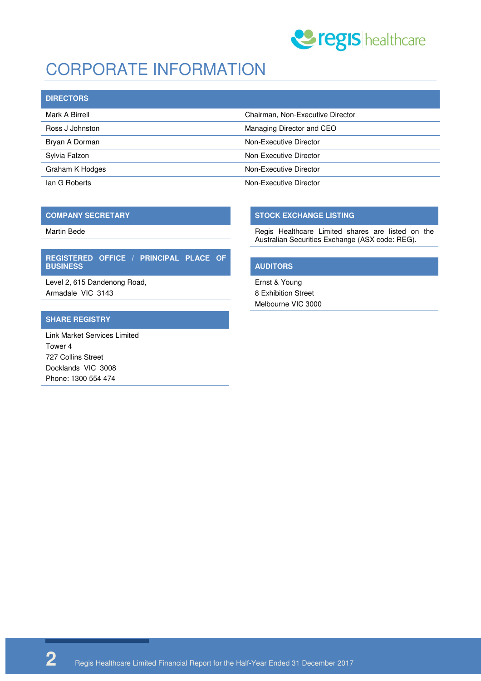

# CORPORATE INFORMATION

| <b>DIRECTORS</b> |                                  |
|------------------|----------------------------------|
| Mark A Birrell   | Chairman, Non-Executive Director |
| Ross J Johnston  | Managing Director and CEO        |
| Bryan A Dorman   | Non-Executive Director           |
| Sylvia Falzon    | Non-Executive Director           |
| Graham K Hodges  | Non-Executive Director           |
| lan G Roberts    | Non-Executive Director           |

#### **COMPANY SECRETARY**

Martin Bede

#### **REGISTERED OFFICE / PRINCIPAL PLACE OF BUSINESS**

Level 2, 615 Dandenong Road, Armadale VIC 3143

#### **SHARE REGISTRY**

Link Market Services Limited Tower 4 727 Collins Street Docklands VIC 3008 Phone: 1300 554 474

#### **STOCK EXCHANGE LISTING**

Regis Healthcare Limited shares are listed on the Australian Securities Exchange (ASX code: REG).

#### **AUDITORS**

Ernst & Young 8 Exhibition Street Melbourne VIC 3000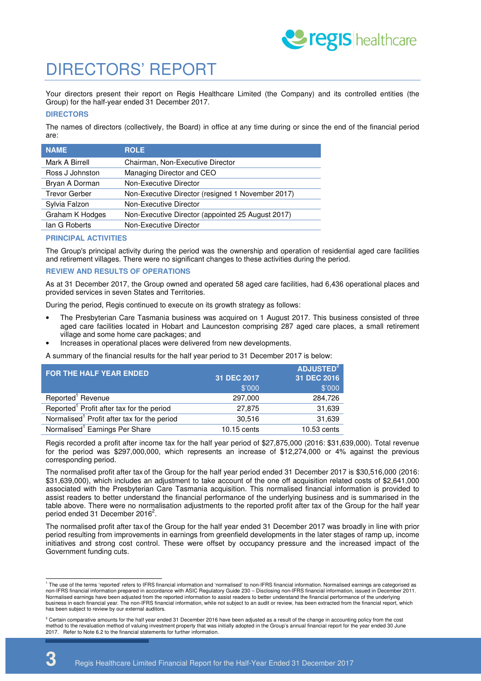

### DIRECTORS' REPORT

Your directors present their report on Regis Healthcare Limited (the Company) and its controlled entities (the Group) for the half-year ended 31 December 2017.

#### **DIRECTORS**

The names of directors (collectively, the Board) in office at any time during or since the end of the financial period are:

| <b>NAME</b>          | <b>ROLE</b>                                       |
|----------------------|---------------------------------------------------|
| Mark A Birrell       | Chairman, Non-Executive Director                  |
| Ross J Johnston      | Managing Director and CEO                         |
| Bryan A Dorman       | Non-Executive Director                            |
| <b>Trevor Gerber</b> | Non-Executive Director (resigned 1 November 2017) |
| Sylvia Falzon        | Non-Executive Director                            |
| Graham K Hodges      | Non-Executive Director (appointed 25 August 2017) |
| lan G Roberts        | Non-Executive Director                            |

#### **PRINCIPAL ACTIVITIES**

The Group's principal activity during the period was the ownership and operation of residential aged care facilities and retirement villages. There were no significant changes to these activities during the period.

#### **REVIEW AND RESULTS OF OPERATIONS**

As at 31 December 2017, the Group owned and operated 58 aged care facilities, had 6,436 operational places and provided services in seven States and Territories.

During the period, Regis continued to execute on its growth strategy as follows:

- The Presbyterian Care Tasmania business was acquired on 1 August 2017. This business consisted of three aged care facilities located in Hobart and Launceston comprising 287 aged care places, a small retirement village and some home care packages; and
- Increases in operational places were delivered from new developments.

A summary of the financial results for the half year period to 31 December 2017 is below:

| <b>FOR THE HALF YEAR ENDED</b>                          |             | ADJUSTED <sup>2</sup> |
|---------------------------------------------------------|-------------|-----------------------|
|                                                         | 31 DEC 2017 | 31 DEC 2016           |
|                                                         | \$'000      | \$'000                |
| Reported <sup>1</sup> Revenue                           | 297,000     | 284,726               |
| Reported <sup>1</sup> Profit after tax for the period   | 27,875      | 31,639                |
| Normalised <sup>1</sup> Profit after tax for the period | 30.516      | 31,639                |
| Normalised <sup>1</sup> Earnings Per Share              | 10.15 cents | 10.53 cents           |

Regis recorded a profit after income tax for the half year period of \$27,875,000 (2016: \$31,639,000). Total revenue for the period was \$297,000,000, which represents an increase of \$12,274,000 or 4% against the previous corresponding period.

The normalised profit after tax of the Group for the half year period ended 31 December 2017 is \$30,516,000 (2016: \$31,639,000), which includes an adjustment to take account of the one off acquisition related costs of \$2,641,000 associated with the Presbyterian Care Tasmania acquisition. This normalised financial information is provided to assist readers to better understand the financial performance of the underlying business and is summarised in the table above. There were no normalisation adjustments to the reported profit after tax of the Group for the half year period ended 31 December 2016<sup>2</sup>.

The normalised profit after tax of the Group for the half year ended 31 December 2017 was broadly in line with prior period resulting from improvements in earnings from greenfield developments in the later stages of ramp up, income initiatives and strong cost control. These were offset by occupancy pressure and the increased impact of the Government funding cuts.

 1 The use of the terms 'reported' refers to IFRS financial information and 'normalised' to non-IFRS financial information. Normalised earnings are categorised as non-IFRS financial information prepared in accordance with ASIC Regulatory Guide 230 – Disclosing non-IFRS financial information, issued in December 2011. Normalised earnings have been adjusted from the reported information to assist readers to better understand the financial performance of the underlying business in each financial year. The non-IFRS financial information, while not subject to an audit or review, has been extracted from the financial report, which has been subject to review by our external auditors.

 $^2$  Certain comparative amounts for the half year ended 31 December 2016 have been adjusted as a result of the change in accounting policy from the cost method to the revaluation method of valuing investment property that was initially adopted in the Group's annual financial report for the year ended 30 June 2017 Refer to Note 6.2 to the financial statements for further information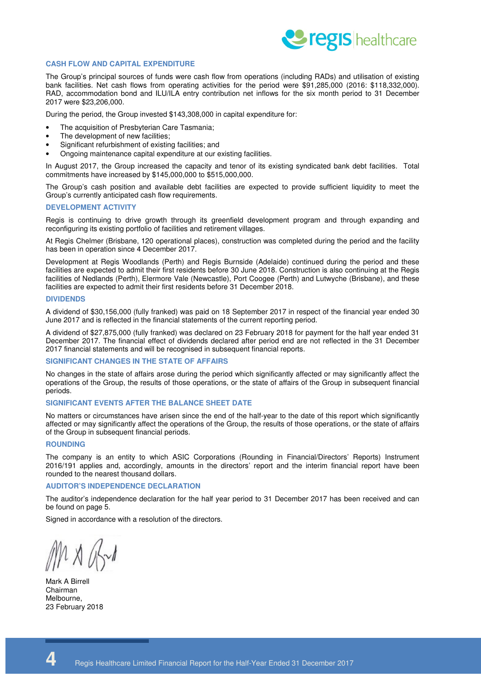

#### **CASH FLOW AND CAPITAL EXPENDITURE**

The Group's principal sources of funds were cash flow from operations (including RADs) and utilisation of existing bank facilities. Net cash flows from operating activities for the period were \$91,285,000 (2016: \$118,332,000). RAD, accommodation bond and ILU/ILA entry contribution net inflows for the six month period to 31 December 2017 were \$23,206,000.

During the period, the Group invested \$143,308,000 in capital expenditure for:

- The acquisition of Presbyterian Care Tasmania;
- The development of new facilities;
- Significant refurbishment of existing facilities; and
- Ongoing maintenance capital expenditure at our existing facilities.

In August 2017, the Group increased the capacity and tenor of its existing syndicated bank debt facilities. Total commitments have increased by \$145,000,000 to \$515,000,000.

The Group's cash position and available debt facilities are expected to provide sufficient liquidity to meet the Group's currently anticipated cash flow requirements.

#### **DEVELOPMENT ACTIVITY**

Regis is continuing to drive growth through its greenfield development program and through expanding and reconfiguring its existing portfolio of facilities and retirement villages.

At Regis Chelmer (Brisbane, 120 operational places), construction was completed during the period and the facility has been in operation since 4 December 2017.

Development at Regis Woodlands (Perth) and Regis Burnside (Adelaide) continued during the period and these facilities are expected to admit their first residents before 30 June 2018. Construction is also continuing at the Regis facilities of Nedlands (Perth), Elermore Vale (Newcastle), Port Coogee (Perth) and Lutwyche (Brisbane), and these facilities are expected to admit their first residents before 31 December 2018.

#### **DIVIDENDS**

A dividend of \$30,156,000 (fully franked) was paid on 18 September 2017 in respect of the financial year ended 30 June 2017 and is reflected in the financial statements of the current reporting period.

A dividend of \$27,875,000 (fully franked) was declared on 23 February 2018 for payment for the half year ended 31 December 2017. The financial effect of dividends declared after period end are not reflected in the 31 December 2017 financial statements and will be recognised in subsequent financial reports.

#### **SIGNIFICANT CHANGES IN THE STATE OF AFFAIRS**

No changes in the state of affairs arose during the period which significantly affected or may significantly affect the operations of the Group, the results of those operations, or the state of affairs of the Group in subsequent financial periods.

#### **SIGNIFICANT EVENTS AFTER THE BALANCE SHEET DATE**

No matters or circumstances have arisen since the end of the half-year to the date of this report which significantly affected or may significantly affect the operations of the Group, the results of those operations, or the state of affairs of the Group in subsequent financial periods.

#### **ROUNDING**

The company is an entity to which ASIC Corporations (Rounding in Financial/Directors' Reports) Instrument 2016/191 applies and, accordingly, amounts in the directors' report and the interim financial report have been rounded to the nearest thousand dollars.

#### **AUDITOR'S INDEPENDENCE DECLARATION**

The auditor's independence declaration for the half year period to 31 December 2017 has been received and can be found on page 5.

Signed in accordance with a resolution of the directors.

 $1 \times 10$ 

Mark A Birrell Chairman Melbourne, 23 February 2018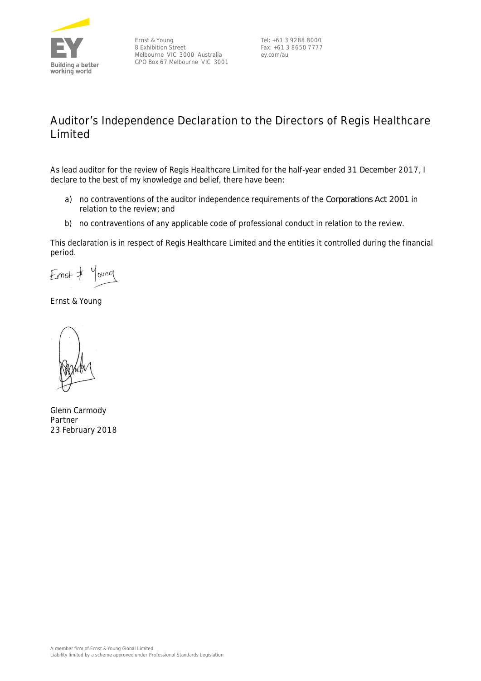

Ernst & Young 8 Exhibition Street Melbourne VIC 3000 Australia GPO Box 67 Melbourne VIC 3001

Tel: +61 3 9288 8000 Fax: +61 3 8650 7777 ey.com/au

### **Auditor's Independence Declaration to the Directors of Regis Healthcare Limited**

As lead auditor for the review of Regis Healthcare Limited for the half-year ended 31 December 2017, I declare to the best of my knowledge and belief, there have been:

- a) no contraventions of the auditor independence requirements of the *Corporations Act 2001* in relation to the review*;* and
- b) no contraventions of any applicable code of professional conduct in relation to the review.

This declaration is in respect of Regis Healthcare Limited and the entities it controlled during the financial period.

Young  $Ernst$ 

Ernst & Young

Glenn Carmody Partner 23 February 2018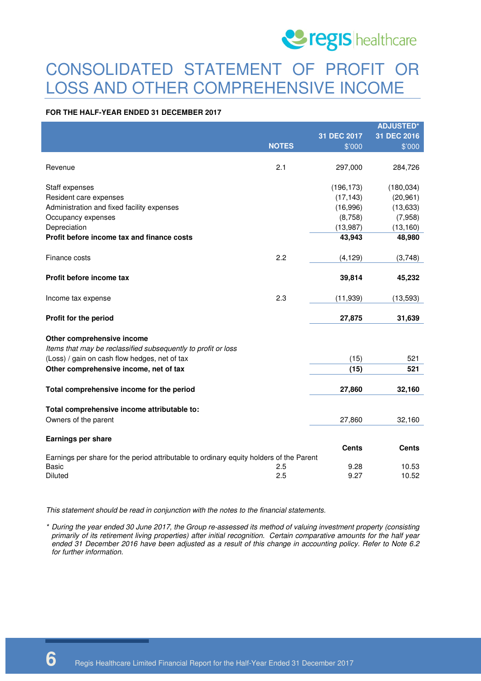

### CONSOLIDATED STATEMENT OF PROFIT OR LOSS AND OTHER COMPREHENSIVE INCOME

#### **FOR THE HALF-YEAR ENDED 31 DECEMBER 2017**

|                                                                                         |              |              | <b>ADJUSTED*</b> |
|-----------------------------------------------------------------------------------------|--------------|--------------|------------------|
|                                                                                         |              | 31 DEC 2017  | 31 DEC 2016      |
|                                                                                         | <b>NOTES</b> | \$'000       | \$'000           |
|                                                                                         |              |              |                  |
| Revenue                                                                                 | 2.1          | 297,000      | 284,726          |
|                                                                                         |              |              |                  |
| Staff expenses                                                                          |              | (196, 173)   | (180, 034)       |
| Resident care expenses                                                                  |              | (17, 143)    | (20, 961)        |
| Administration and fixed facility expenses                                              |              | (16,996)     | (13, 633)        |
| Occupancy expenses                                                                      |              | (8,758)      | (7,958)          |
| Depreciation                                                                            |              | (13, 987)    | (13, 160)        |
| Profit before income tax and finance costs                                              |              | 43,943       | 48,980           |
| Finance costs                                                                           | 2.2          | (4, 129)     | (3,748)          |
|                                                                                         |              |              |                  |
| Profit before income tax                                                                |              | 39,814       | 45,232           |
| Income tax expense                                                                      | 2.3          | (11, 939)    | (13,593)         |
| Profit for the period                                                                   |              | 27,875       | 31,639           |
|                                                                                         |              |              |                  |
| Other comprehensive income                                                              |              |              |                  |
| Items that may be reclassified subsequently to profit or loss                           |              |              |                  |
| (Loss) / gain on cash flow hedges, net of tax                                           |              | (15)         | 521              |
| Other comprehensive income, net of tax                                                  |              | (15)         | 521              |
|                                                                                         |              |              |                  |
| Total comprehensive income for the period                                               |              | 27,860       | 32,160           |
| Total comprehensive income attributable to:                                             |              |              |                  |
| Owners of the parent                                                                    |              | 27,860       | 32,160           |
|                                                                                         |              |              |                  |
| Earnings per share                                                                      |              |              |                  |
|                                                                                         |              | <b>Cents</b> | Cents            |
| Earnings per share for the period attributable to ordinary equity holders of the Parent |              |              |                  |
| Basic                                                                                   | 2.5          | 9.28         | 10.53            |
| <b>Diluted</b>                                                                          | 2.5          | 9.27         | 10.52            |

This statement should be read in conjunction with the notes to the financial statements.

\* During the year ended 30 June 2017, the Group re-assessed its method of valuing investment property (consisting primarily of its retirement living properties) after initial recognition. Certain comparative amounts for the half year ended 31 December 2016 have been adjusted as a result of this change in accounting policy. Refer to Note 6.2 for further information.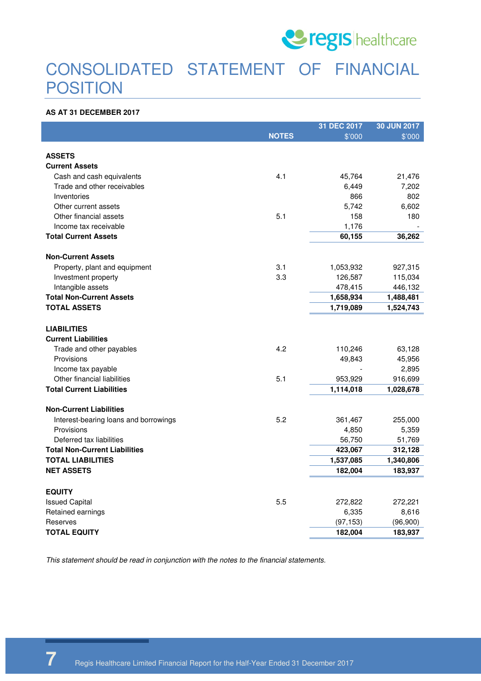

### CONSOLIDATED STATEMENT OF FINANCIAL **POSITION**

#### **AS AT 31 DECEMBER 2017**

|                                       |              | 31 DEC 2017 | 30 JUN 2017 |
|---------------------------------------|--------------|-------------|-------------|
|                                       | <b>NOTES</b> | \$'000      | \$'000      |
|                                       |              |             |             |
| <b>ASSETS</b>                         |              |             |             |
| <b>Current Assets</b>                 |              |             |             |
| Cash and cash equivalents             | 4.1          | 45,764      | 21,476      |
| Trade and other receivables           |              | 6,449       | 7,202       |
| Inventories                           |              | 866         | 802         |
| Other current assets                  |              | 5,742       | 6,602       |
| Other financial assets                | 5.1          | 158         | 180         |
| Income tax receivable                 |              | 1,176       |             |
| <b>Total Current Assets</b>           |              | 60,155      | 36,262      |
| <b>Non-Current Assets</b>             |              |             |             |
| Property, plant and equipment         | 3.1          | 1,053,932   | 927,315     |
| Investment property                   | 3.3          | 126,587     | 115,034     |
| Intangible assets                     |              | 478,415     | 446,132     |
| <b>Total Non-Current Assets</b>       |              | 1,658,934   | 1,488,481   |
| <b>TOTAL ASSETS</b>                   |              | 1,719,089   | 1,524,743   |
| <b>LIABILITIES</b>                    |              |             |             |
| <b>Current Liabilities</b>            |              |             |             |
| Trade and other payables              | 4.2          | 110,246     | 63,128      |
| Provisions                            |              | 49,843      | 45,956      |
| Income tax payable                    |              |             | 2,895       |
| Other financial liabilities           | 5.1          | 953,929     | 916,699     |
| <b>Total Current Liabilities</b>      |              | 1,114,018   | 1,028,678   |
| <b>Non-Current Liabilities</b>        |              |             |             |
| Interest-bearing loans and borrowings | 5.2          | 361,467     | 255,000     |
| Provisions                            |              | 4,850       | 5,359       |
| Deferred tax liabilities              |              | 56,750      | 51,769      |
| <b>Total Non-Current Liabilities</b>  |              | 423,067     | 312,128     |
| <b>TOTAL LIABILITIES</b>              |              | 1,537,085   | 1,340,806   |
| <b>NET ASSETS</b>                     |              | 182,004     | 183,937     |
| <b>EQUITY</b>                         |              |             |             |
| <b>Issued Capital</b>                 | 5.5          | 272,822     | 272,221     |
| Retained earnings                     |              | 6,335       | 8,616       |
| Reserves                              |              | (97, 153)   | (96,900)    |
| TOTAL EQUITY                          |              | 182,004     | 183,937     |

This statement should be read in conjunction with the notes to the financial statements.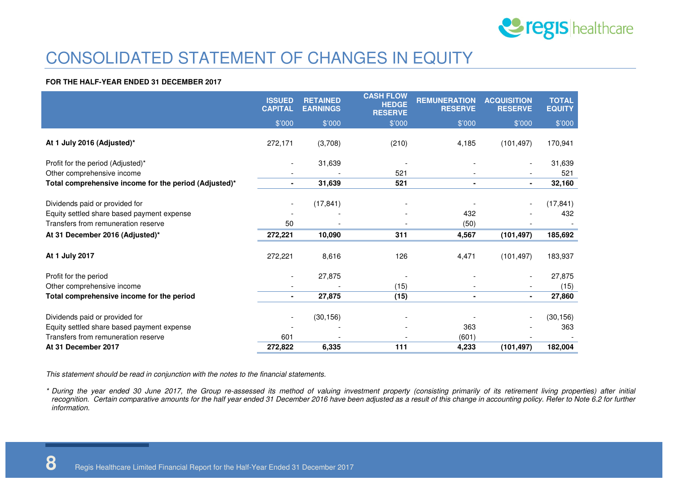

### CONSOLIDATED STATEMENT OF CHANGES IN EQUITY

#### **FOR THE HALF-YEAR ENDED 31 DECEMBER 2017**

|                                                                              | <b>ISSUED</b><br><b>CAPITAL</b> | <b>RETAINED</b><br><b>EARNINGS</b> | <b>CASH FLOW</b><br><b>HEDGE</b><br><b>RESERVE</b> | <b>REMUNERATION</b><br><b>RESERVE</b> | <b>ACQUISITION</b><br><b>RESERVE</b> | <b>TOTAL</b><br><b>EQUITY</b> |
|------------------------------------------------------------------------------|---------------------------------|------------------------------------|----------------------------------------------------|---------------------------------------|--------------------------------------|-------------------------------|
|                                                                              | \$'000                          | \$'000                             | \$'000                                             | \$'000                                | \$'000                               | \$'000                        |
| At 1 July 2016 (Adjusted)*                                                   | 272,171                         | (3,708)                            | (210)                                              | 4,185                                 | (101, 497)                           | 170,941                       |
| Profit for the period (Adjusted)*                                            | $\overline{\phantom{a}}$        | 31,639                             |                                                    |                                       |                                      | 31,639                        |
| Other comprehensive income                                                   |                                 |                                    | 521                                                |                                       |                                      | 521                           |
| Total comprehensive income for the period (Adjusted)*                        | $\blacksquare$                  | 31,639                             | 521                                                | $\blacksquare$                        | $\blacksquare$                       | 32,160                        |
|                                                                              |                                 |                                    |                                                    |                                       |                                      |                               |
| Dividends paid or provided for                                               |                                 | (17, 841)                          |                                                    |                                       |                                      | (17, 841)                     |
| Equity settled share based payment expense                                   |                                 |                                    |                                                    | 432                                   |                                      | 432                           |
| Transfers from remuneration reserve                                          | 50                              |                                    |                                                    | (50)                                  |                                      |                               |
| At 31 December 2016 (Adjusted)*                                              | 272,221                         | 10,090                             | 311                                                | 4,567                                 | (101, 497)                           | 185,692                       |
| At 1 July 2017                                                               | 272,221                         | 8,616                              | 126                                                | 4,471                                 | (101, 497)                           | 183,937                       |
| Profit for the period                                                        |                                 | 27,875                             |                                                    |                                       |                                      | 27,875                        |
| Other comprehensive income                                                   |                                 |                                    | (15)                                               |                                       |                                      | (15)                          |
| Total comprehensive income for the period                                    | $\blacksquare$                  | 27,875                             | (15)                                               | $\blacksquare$                        | $\blacksquare$                       | 27,860                        |
| Dividends paid or provided for<br>Equity settled share based payment expense | $\overline{\phantom{a}}$        | (30, 156)                          |                                                    | 363                                   |                                      | (30, 156)<br>363              |
| Transfers from remuneration reserve                                          | 601                             |                                    |                                                    | (601)                                 |                                      |                               |
| At 31 December 2017                                                          | 272,822                         | 6,335                              | 111                                                | 4,233                                 | (101, 497)                           | 182,004                       |

This statement should be read in conjunction with the notes to the financial statements.

\* During the year ended 30 June 2017, the Group re-assessed its method of valuing investment property (consisting primarily of its retirement living properties) after initial recognition. Certain comparative amounts for the half year ended 31 December 2016 have been adjusted as a result of this change in accounting policy. Refer to Note 6.2 for further information.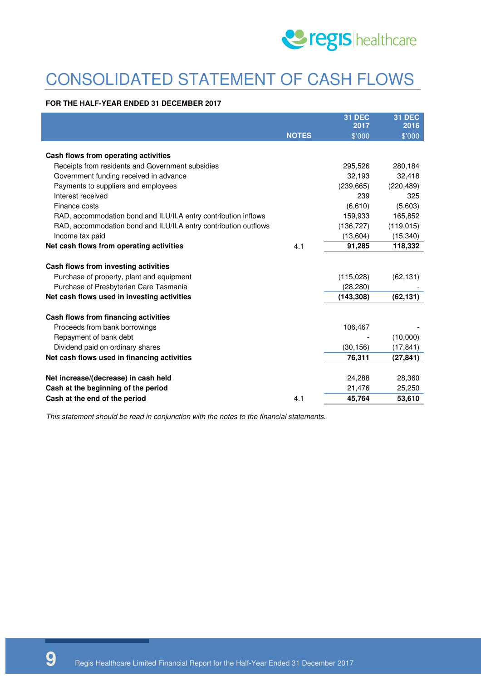

# CONSOLIDATED STATEMENT OF CASH FLOWS

#### **FOR THE HALF-YEAR ENDED 31 DECEMBER 2017**

|                                                                 |              | <b>31 DEC</b> | <b>31 DEC</b> |
|-----------------------------------------------------------------|--------------|---------------|---------------|
|                                                                 |              | 2017          | 2016          |
|                                                                 | <b>NOTES</b> | \$'000        | \$'000        |
| Cash flows from operating activities                            |              |               |               |
| Receipts from residents and Government subsidies                |              | 295,526       | 280,184       |
| Government funding received in advance                          |              | 32,193        | 32,418        |
| Payments to suppliers and employees                             |              | (239, 665)    | (220, 489)    |
| Interest received                                               |              | 239           | 325           |
| Finance costs                                                   |              | (6,610)       | (5,603)       |
| RAD, accommodation bond and ILU/ILA entry contribution inflows  |              | 159,933       | 165,852       |
| RAD, accommodation bond and ILU/ILA entry contribution outflows |              | (136, 727)    | (119, 015)    |
| Income tax paid                                                 |              | (13,604)      | (15, 340)     |
| Net cash flows from operating activities                        | 4.1          | 91,285        | 118,332       |
| Cash flows from investing activities                            |              |               |               |
| Purchase of property, plant and equipment                       |              | (115,028)     | (62, 131)     |
| Purchase of Presbyterian Care Tasmania                          |              | (28, 280)     |               |
| Net cash flows used in investing activities                     |              | (143, 308)    | (62, 131)     |
| Cash flows from financing activities                            |              |               |               |
| Proceeds from bank borrowings                                   |              | 106,467       |               |
| Repayment of bank debt                                          |              |               | (10,000)      |
| Dividend paid on ordinary shares                                |              | (30, 156)     | (17, 841)     |
| Net cash flows used in financing activities                     |              | 76,311        | (27, 841)     |
|                                                                 |              |               |               |
| Net increase/(decrease) in cash held                            |              | 24,288        | 28,360        |
| Cash at the beginning of the period                             |              | 21,476        | 25,250        |
| Cash at the end of the period                                   | 4.1          | 45,764        | 53,610        |

This statement should be read in conjunction with the notes to the financial statements.

**9** Regis Healthcare Limited Financial Report for the Half-Year Ended 31 December 2017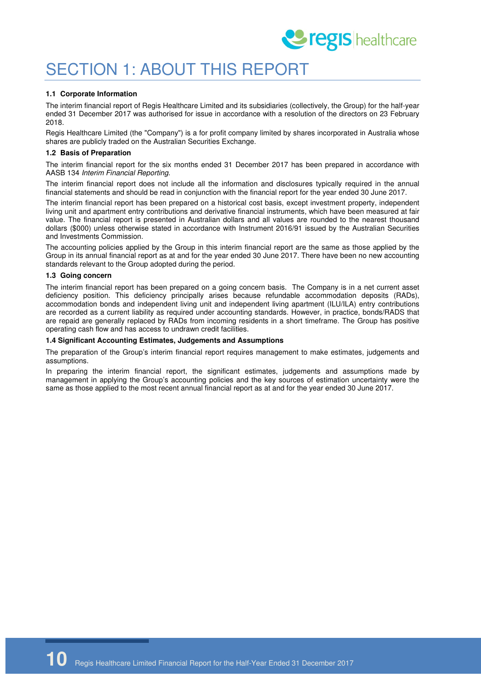

### SECTION 1: ABOUT THIS REPORT

#### **1.1 Corporate Information**

The interim financial report of Regis Healthcare Limited and its subsidiaries (collectively, the Group) for the half-year ended 31 December 2017 was authorised for issue in accordance with a resolution of the directors on 23 February 2018.

Regis Healthcare Limited (the "Company") is a for profit company limited by shares incorporated in Australia whose shares are publicly traded on the Australian Securities Exchange.

#### **1.2 Basis of Preparation**

The interim financial report for the six months ended 31 December 2017 has been prepared in accordance with AASB 134 Interim Financial Reporting.

The interim financial report does not include all the information and disclosures typically required in the annual financial statements and should be read in conjunction with the financial report for the year ended 30 June 2017.

The interim financial report has been prepared on a historical cost basis, except investment property, independent living unit and apartment entry contributions and derivative financial instruments, which have been measured at fair value. The financial report is presented in Australian dollars and all values are rounded to the nearest thousand dollars (\$000) unless otherwise stated in accordance with Instrument 2016/91 issued by the Australian Securities and Investments Commission.

The accounting policies applied by the Group in this interim financial report are the same as those applied by the Group in its annual financial report as at and for the year ended 30 June 2017. There have been no new accounting standards relevant to the Group adopted during the period.

#### **1.3 Going concern**

The interim financial report has been prepared on a going concern basis. The Company is in a net current asset deficiency position. This deficiency principally arises because refundable accommodation deposits (RADs), accommodation bonds and independent living unit and independent living apartment (ILU/ILA) entry contributions are recorded as a current liability as required under accounting standards. However, in practice, bonds/RADS that are repaid are generally replaced by RADs from incoming residents in a short timeframe. The Group has positive operating cash flow and has access to undrawn credit facilities.

#### **1.4 Significant Accounting Estimates, Judgements and Assumptions**

The preparation of the Group's interim financial report requires management to make estimates, judgements and assumptions.

In preparing the interim financial report, the significant estimates, judgements and assumptions made by management in applying the Group's accounting policies and the key sources of estimation uncertainty were the same as those applied to the most recent annual financial report as at and for the year ended 30 June 2017.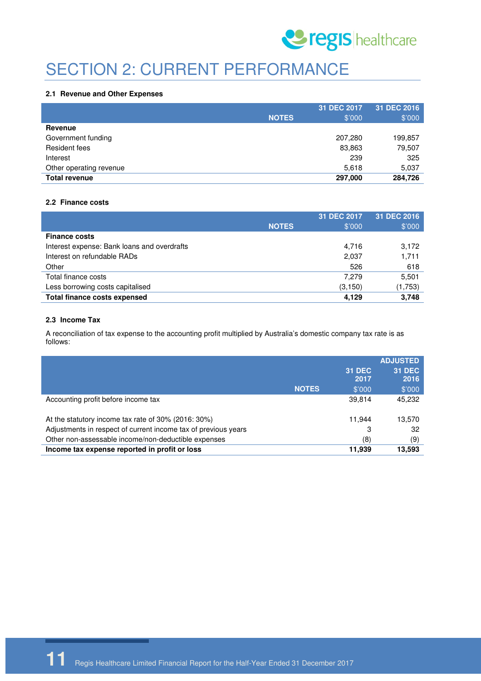

## SECTION 2: CURRENT PERFORMANCE

#### **2.1 Revenue and Other Expenses**

|                         |              | 31 DEC 2017 | 31 DEC 2016 |
|-------------------------|--------------|-------------|-------------|
|                         | <b>NOTES</b> | \$'000      | \$'000      |
| Revenue                 |              |             |             |
| Government funding      |              | 207,280     | 199,857     |
| Resident fees           |              | 83,863      | 79,507      |
| Interest                |              | 239         | 325         |
| Other operating revenue |              | 5,618       | 5,037       |
| <b>Total revenue</b>    |              | 297,000     | 284,726     |

#### **2.2 Finance costs**

|                                             | <b>NOTES</b> | 31 DEC 2017<br>\$'000 | 31 DEC 2016<br>\$'000 |
|---------------------------------------------|--------------|-----------------------|-----------------------|
| <b>Finance costs</b>                        |              |                       |                       |
| Interest expense: Bank loans and overdrafts |              | 4,716                 | 3,172                 |
| Interest on refundable RADs                 |              | 2,037                 | 1,711                 |
| Other                                       |              | 526                   | 618                   |
| Total finance costs                         |              | 7.279                 | 5,501                 |
| Less borrowing costs capitalised            |              | (3, 150)              | (1,753)               |
| <b>Total finance costs expensed</b>         |              | 4,129                 | 3,748                 |

#### **2.3 Income Tax**

A reconciliation of tax expense to the accounting profit multiplied by Australia's domestic company tax rate is as follows:

|                                                                |              |               | <b>ADJUSTED</b> |
|----------------------------------------------------------------|--------------|---------------|-----------------|
|                                                                |              | <b>31 DEC</b> | <b>31 DEC</b>   |
|                                                                |              | 2017          | 2016            |
|                                                                | <b>NOTES</b> | \$'000        | \$'000          |
| Accounting profit before income tax                            |              | 39,814        | 45,232          |
| At the statutory income tax rate of 30% (2016: 30%)            |              | 11.944        | 13,570          |
| Adjustments in respect of current income tax of previous years |              | 3             | 32              |
| Other non-assessable income/non-deductible expenses            |              | (8)           | (9)             |
| Income tax expense reported in profit or loss                  |              | 11.939        | 13,593          |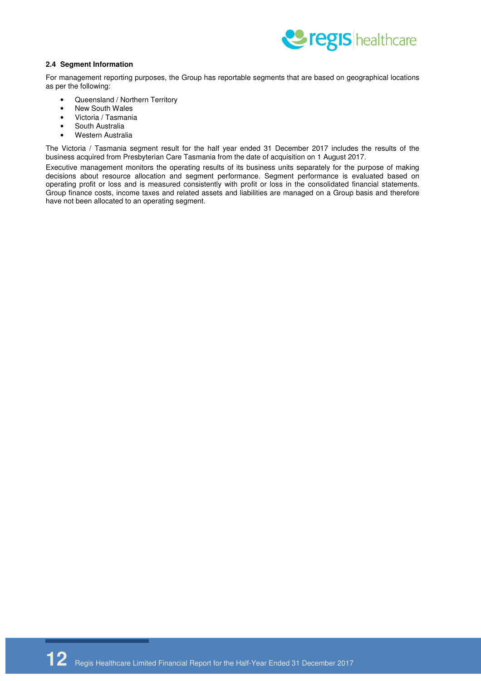

#### **2.4 Segment Information**

For management reporting purposes, the Group has reportable segments that are based on geographical locations as per the following:

- Queensland / Northern Territory
- New South Wales
- Victoria / Tasmania
- South Australia
- Western Australia

The Victoria / Tasmania segment result for the half year ended 31 December 2017 includes the results of the business acquired from Presbyterian Care Tasmania from the date of acquisition on 1 August 2017.

Executive management monitors the operating results of its business units separately for the purpose of making decisions about resource allocation and segment performance. Segment performance is evaluated based on operating profit or loss and is measured consistently with profit or loss in the consolidated financial statements. Group finance costs, income taxes and related assets and liabilities are managed on a Group basis and therefore have not been allocated to an operating segment.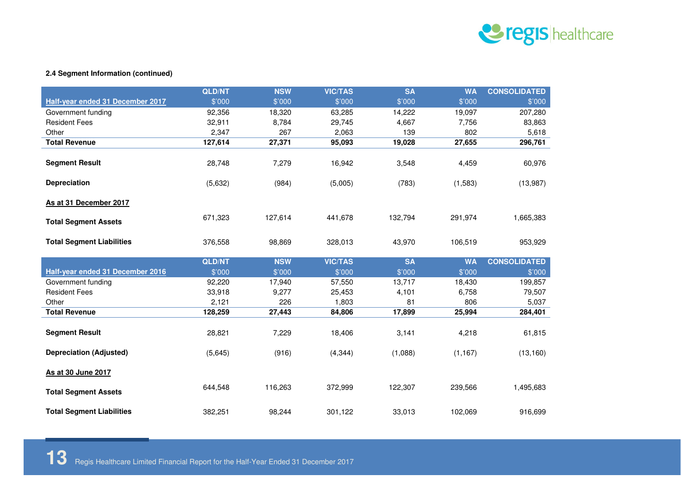

#### **2.4 Segment Information (continued)**

|                                  | <b>QLD/NT</b> | <b>NSW</b> | <b>VIC/TAS</b> | <b>SA</b> | <b>WA</b> | <b>CONSOLIDATED</b> |
|----------------------------------|---------------|------------|----------------|-----------|-----------|---------------------|
| Half-year ended 31 December 2017 | \$'000        | \$'000     | \$'000         | \$'000    | \$'000    | \$'000              |
| Government funding               | 92,356        | 18,320     | 63,285         | 14,222    | 19,097    | 207,280             |
| <b>Resident Fees</b>             | 32,911        | 8,784      | 29,745         | 4,667     | 7,756     | 83,863              |
| Other                            | 2,347         | 267        | 2,063          | 139       | 802       | 5,618               |
| <b>Total Revenue</b>             | 127,614       | 27,371     | 95,093         | 19,028    | 27,655    | 296,761             |
| <b>Segment Result</b>            | 28,748        | 7,279      | 16,942         | 3,548     | 4,459     | 60,976              |
| <b>Depreciation</b>              | (5,632)       | (984)      | (5,005)        | (783)     | (1,583)   | (13,987)            |
| As at 31 December 2017           |               |            |                |           |           |                     |
| <b>Total Segment Assets</b>      | 671,323       | 127,614    | 441,678        | 132,794   | 291,974   | 1,665,383           |
| <b>Total Segment Liabilities</b> | 376,558       | 98,869     | 328,013        | 43,970    | 106,519   | 953,929             |
|                                  | <b>QLD/NT</b> | <b>NSW</b> | <b>VIC/TAS</b> | <b>SA</b> | <b>WA</b> | <b>CONSOLIDATED</b> |
| Half-year ended 31 December 2016 | \$'000        | \$'000     | \$'000         | \$'000    | \$'000    | \$'000              |
| Government funding               | 92,220        | 17,940     | 57,550         | 13,717    | 18,430    | 199,857             |
| <b>Resident Fees</b>             | 33,918        | 9,277      | 25,453         | 4,101     | 6,758     | 79,507              |
| Other                            | 2,121         | 226        | 1,803          | 81        | 806       | 5,037               |
| <b>Total Revenue</b>             | 128,259       | 27,443     | 84,806         | 17,899    | 25,994    | 284,401             |
| <b>Segment Result</b>            | 28,821        | 7,229      | 18,406         | 3,141     | 4,218     | 61,815              |
| <b>Depreciation (Adjusted)</b>   | (5,645)       | (916)      | (4, 344)       | (1,088)   | (1, 167)  | (13, 160)           |
| As at 30 June 2017               |               |            |                |           |           |                     |
| <b>Total Segment Assets</b>      | 644,548       | 116,263    | 372,999        | 122,307   | 239,566   | 1,495,683           |
| <b>Total Segment Liabilities</b> | 382,251       | 98,244     | 301,122        | 33,013    | 102,069   | 916,699             |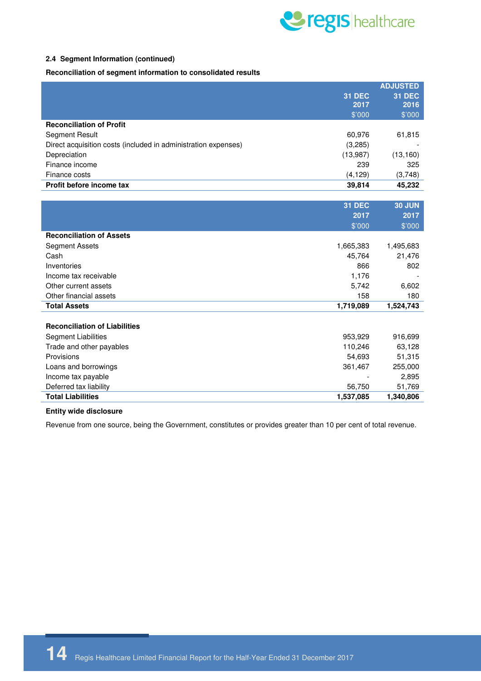

#### **2.4 Segment Information (continued)**

**Reconciliation of segment information to consolidated results**

|                                                                |               | <b>ADJUSTED</b> |
|----------------------------------------------------------------|---------------|-----------------|
|                                                                | <b>31 DEC</b> | <b>31 DEC</b>   |
|                                                                | 2017          | 2016            |
|                                                                | \$'000        | \$'000          |
| <b>Reconciliation of Profit</b>                                |               |                 |
| Segment Result                                                 | 60,976        | 61,815          |
| Direct acquisition costs (included in administration expenses) | (3,285)       |                 |
| Depreciation                                                   | (13,987)      | (13, 160)       |
| Finance income                                                 | 239           | 325             |
| Finance costs                                                  | (4, 129)      | (3,748)         |
| Profit before income tax                                       | 39,814        | 45,232          |
|                                                                |               |                 |
|                                                                | <b>31 DEC</b> | <b>30 JUN</b>   |
|                                                                | 2017          | 2017            |
|                                                                | \$'000        | \$'000          |
| <b>Reconciliation of Assets</b>                                |               |                 |
| <b>Segment Assets</b>                                          | 1,665,383     | 1,495,683       |
| Cash                                                           | 45,764        | 21,476          |
| Inventories                                                    | 866           | 802             |
| Income tax receivable                                          | 1,176         |                 |
| Other current assets                                           | 5,742         | 6,602           |
| Other financial assets                                         | 158           | 180             |
| <b>Total Assets</b>                                            | 1,719,089     | 1,524,743       |
|                                                                |               |                 |
| <b>Reconciliation of Liabilities</b>                           |               |                 |
| <b>Segment Liabilities</b>                                     | 953,929       | 916,699         |
| Trade and other payables                                       | 110,246       | 63,128          |
| Provisions                                                     | 54,693        | 51,315          |
| Loans and borrowings                                           | 361,467       | 255,000         |
| Income tax payable                                             |               | 2,895           |
| Deferred tax liability                                         | 56,750        | 51,769          |
| <b>Total Liabilities</b>                                       | 1,537,085     | 1,340,806       |

#### **Entity wide disclosure**

Revenue from one source, being the Government, constitutes or provides greater than 10 per cent of total revenue.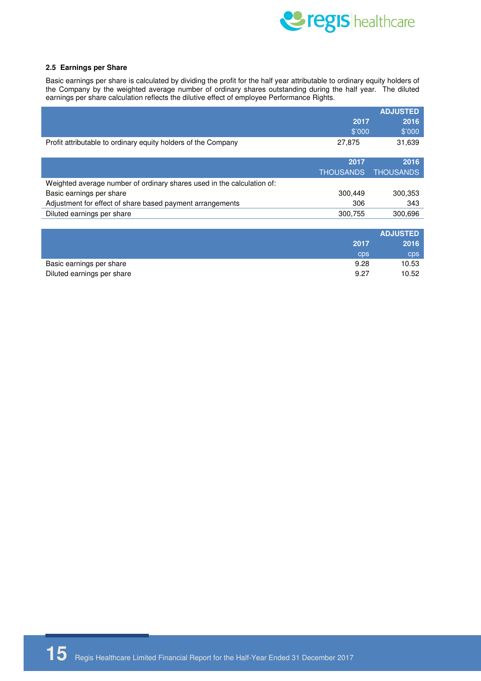

#### **2.5 Earnings per Share**

Basic earnings per share is calculated by dividing the profit for the half year attributable to ordinary equity holders of the Company by the weighted average number of ordinary shares outstanding during the half year. The diluted earnings per share calculation reflects the dilutive effect of employee Performance Rights.

|                                                                        |                  | <b>ADJUSTED</b>  |
|------------------------------------------------------------------------|------------------|------------------|
|                                                                        | 2017             | 2016             |
|                                                                        | \$'000           | \$'000           |
| Profit attributable to ordinary equity holders of the Company          | 27,875           | 31,639           |
|                                                                        | 2017             | 2016             |
|                                                                        | <b>THOUSANDS</b> | <b>THOUSANDS</b> |
| Weighted average number of ordinary shares used in the calculation of: |                  |                  |
| Basic earnings per share                                               | 300,449          | 300,353          |
| Adjustment for effect of share based payment arrangements              | 306              | 343              |
| Diluted earnings per share                                             | 300,755          | 300,696          |
|                                                                        |                  |                  |
|                                                                        |                  | <b>ADJUSTED</b>  |
|                                                                        | 2017             | 2016             |
|                                                                        | <b>CDS</b>       | cps              |
| Basic earnings per share                                               | 9.28             | 10.53            |

Diluted earnings per share 10.52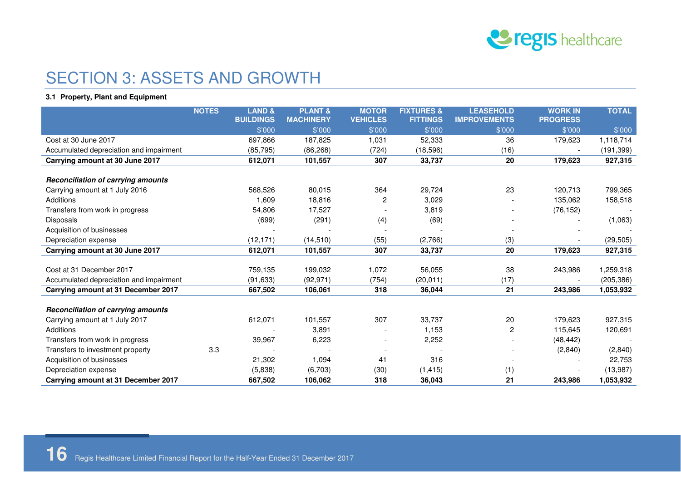

### SECTION 3: ASSETS AND GROWTH

#### **3.1 Property, Plant and Equipment**

|                                           | <b>NOTES</b> | <b>LAND &amp;</b><br><b>BUILDINGS</b> | <b>PLANT &amp;</b><br><b>MACHINERY</b> | <b>MOTOR</b><br><b>VEHICLES</b> | <b>FIXTURES &amp;</b><br><b>FITTINGS</b> | <b>LEASEHOLD</b><br><b>IMPROVEMENTS</b> | <b>WORK IN</b><br><b>PROGRESS</b> | <b>TOTAL</b> |
|-------------------------------------------|--------------|---------------------------------------|----------------------------------------|---------------------------------|------------------------------------------|-----------------------------------------|-----------------------------------|--------------|
|                                           |              | \$'000                                | \$'000                                 | \$'000                          | \$'000                                   | \$'000                                  | \$'000                            | \$'000       |
| Cost at 30 June 2017                      |              | 697,866                               | 187,825                                | 1,031                           | 52,333                                   | 36                                      | 179,623                           | 1,118,714    |
| Accumulated depreciation and impairment   |              | (85, 795)                             | (86, 268)                              | (724)                           | (18,596)                                 | (16)                                    |                                   | (191, 399)   |
| Carrying amount at 30 June 2017           |              | 612,071                               | 101,557                                | 307                             | 33,737                                   | 20                                      | 179,623                           | 927,315      |
|                                           |              |                                       |                                        |                                 |                                          |                                         |                                   |              |
| <b>Reconciliation of carrying amounts</b> |              |                                       |                                        |                                 |                                          |                                         |                                   |              |
| Carrying amount at 1 July 2016            |              | 568,526                               | 80,015                                 | 364                             | 29,724                                   | 23                                      | 120,713                           | 799,365      |
| Additions                                 |              | 1,609                                 | 18,816                                 | $\overline{c}$                  | 3,029                                    |                                         | 135,062                           | 158,518      |
| Transfers from work in progress           |              | 54,806                                | 17,527                                 |                                 | 3,819                                    |                                         | (76, 152)                         |              |
| <b>Disposals</b>                          |              | (699)                                 | (291)                                  | (4)                             | (69)                                     |                                         |                                   | (1,063)      |
| Acquisition of businesses                 |              |                                       |                                        |                                 |                                          |                                         |                                   |              |
| Depreciation expense                      |              | (12, 171)                             | (14, 510)                              | (55)                            | (2,766)                                  | (3)                                     |                                   | (29, 505)    |
| Carrying amount at 30 June 2017           |              | 612,071                               | 101,557                                | 307                             | 33,737                                   | 20                                      | 179,623                           | 927,315      |
|                                           |              |                                       |                                        |                                 |                                          |                                         |                                   |              |
| Cost at 31 December 2017                  |              | 759,135                               | 199,032                                | 1,072                           | 56,055                                   | 38                                      | 243,986                           | 1,259,318    |
| Accumulated depreciation and impairment   |              | (91, 633)                             | (92, 971)                              | (754)                           | (20, 011)                                | (17)                                    |                                   | (205, 386)   |
| Carrying amount at 31 December 2017       |              | 667,502                               | 106,061                                | 318                             | 36,044                                   | 21                                      | 243,986                           | 1,053,932    |
|                                           |              |                                       |                                        |                                 |                                          |                                         |                                   |              |
| <b>Reconciliation of carrying amounts</b> |              |                                       |                                        |                                 |                                          |                                         |                                   |              |
| Carrying amount at 1 July 2017            |              | 612,071                               | 101,557                                | 307                             | 33,737                                   | 20                                      | 179,623                           | 927,315      |
| Additions                                 |              |                                       | 3,891                                  |                                 | 1,153                                    | $\overline{c}$                          | 115,645                           | 120,691      |
| Transfers from work in progress           |              | 39,967                                | 6,223                                  |                                 | 2,252                                    |                                         | (48, 442)                         |              |
| Transfers to investment property          | 3.3          |                                       |                                        |                                 |                                          |                                         | (2,840)                           | (2,840)      |
| Acquisition of businesses                 |              | 21,302                                | 1,094                                  | 41                              | 316                                      |                                         |                                   | 22,753       |
| Depreciation expense                      |              | (5,838)                               | (6,703)                                | (30)                            | (1, 415)                                 | (1)                                     |                                   | (13, 987)    |
| Carrying amount at 31 December 2017       |              | 667,502                               | 106,062                                | 318                             | 36,043                                   | 21                                      | 243,986                           | 1,053,932    |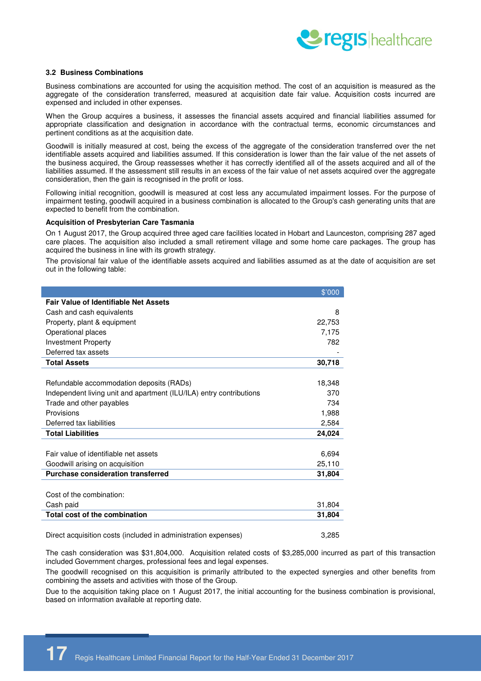

#### **3.2 Business Combinations**

Business combinations are accounted for using the acquisition method. The cost of an acquisition is measured as the aggregate of the consideration transferred, measured at acquisition date fair value. Acquisition costs incurred are expensed and included in other expenses.

When the Group acquires a business, it assesses the financial assets acquired and financial liabilities assumed for appropriate classification and designation in accordance with the contractual terms, economic circumstances and pertinent conditions as at the acquisition date.

Goodwill is initially measured at cost, being the excess of the aggregate of the consideration transferred over the net identifiable assets acquired and liabilities assumed. If this consideration is lower than the fair value of the net assets of the business acquired, the Group reassesses whether it has correctly identified all of the assets acquired and all of the liabilities assumed. If the assessment still results in an excess of the fair value of net assets acquired over the aggregate consideration, then the gain is recognised in the profit or loss.

Following initial recognition, goodwill is measured at cost less any accumulated impairment losses. For the purpose of impairment testing, goodwill acquired in a business combination is allocated to the Group's cash generating units that are expected to benefit from the combination.

#### **Acquisition of Presbyterian Care Tasmania**

On 1 August 2017, the Group acquired three aged care facilities located in Hobart and Launceston, comprising 287 aged care places. The acquisition also included a small retirement village and some home care packages. The group has acquired the business in line with its growth strategy.

The provisional fair value of the identifiable assets acquired and liabilities assumed as at the date of acquisition are set out in the following table:

|                                                                     | \$'000 |
|---------------------------------------------------------------------|--------|
| <b>Fair Value of Identifiable Net Assets</b>                        |        |
| Cash and cash equivalents                                           | 8      |
| Property, plant & equipment                                         | 22,753 |
| Operational places                                                  | 7,175  |
| <b>Investment Property</b>                                          | 782    |
| Deferred tax assets                                                 |        |
| <b>Total Assets</b>                                                 | 30,718 |
|                                                                     |        |
| Refundable accommodation deposits (RADs)                            | 18,348 |
| Independent living unit and apartment (ILU/ILA) entry contributions | 370    |
| Trade and other payables                                            | 734    |
| Provisions                                                          | 1,988  |
| Deferred tax liabilities                                            | 2.584  |
| <b>Total Liabilities</b>                                            | 24,024 |
| Fair value of identifiable net assets                               | 6,694  |
| Goodwill arising on acquisition                                     | 25,110 |
| <b>Purchase consideration transferred</b>                           | 31,804 |
|                                                                     |        |
| Cost of the combination:                                            |        |
| Cash paid                                                           | 31,804 |
| Total cost of the combination                                       | 31,804 |
|                                                                     |        |

Direct acquisition costs (included in administration expenses) 3,285

The cash consideration was \$31,804,000. Acquisition related costs of \$3,285,000 incurred as part of this transaction included Government charges, professional fees and legal expenses.

The goodwill recognised on this acquisition is primarily attributed to the expected synergies and other benefits from combining the assets and activities with those of the Group.

Due to the acquisition taking place on 1 August 2017, the initial accounting for the business combination is provisional, based on information available at reporting date.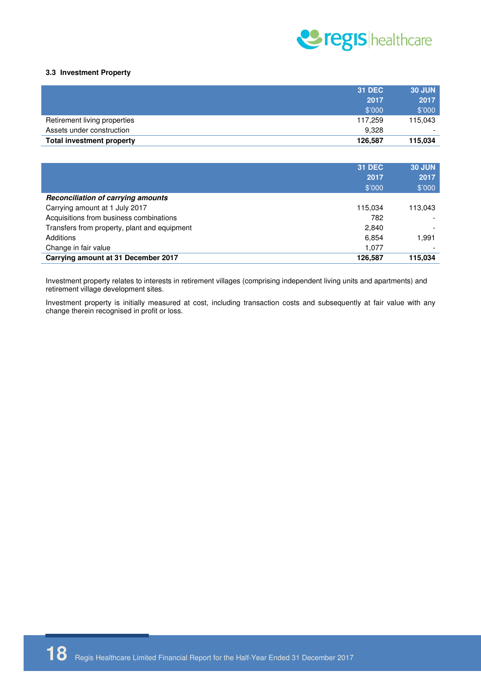

#### **3.3 Investment Property**

|                              | 31 DEC  | <b>30 JUN</b> |
|------------------------------|---------|---------------|
|                              | 2017    | 2017          |
|                              | \$'000  | \$'000        |
| Retirement living properties | 117.259 | 115,043       |
| Assets under construction    | 9.328   | -             |
| Total investment property    | 126.587 | 115,034       |

|                                              | <b>31 DEC</b><br>2017<br>\$'000 | <b>30 JUN</b><br>2017<br>\$'000 |
|----------------------------------------------|---------------------------------|---------------------------------|
| <b>Reconciliation of carrying amounts</b>    |                                 |                                 |
| Carrying amount at 1 July 2017               | 115.034                         | 113,043                         |
| Acquisitions from business combinations      | 782                             |                                 |
| Transfers from property, plant and equipment | 2,840                           |                                 |
| Additions                                    | 6.854                           | 1.991                           |
| Change in fair value                         | 1.077                           | -                               |
| Carrying amount at 31 December 2017          | 126.587                         | 115,034                         |

Investment property relates to interests in retirement villages (comprising independent living units and apartments) and retirement village development sites.

Investment property is initially measured at cost, including transaction costs and subsequently at fair value with any change therein recognised in profit or loss.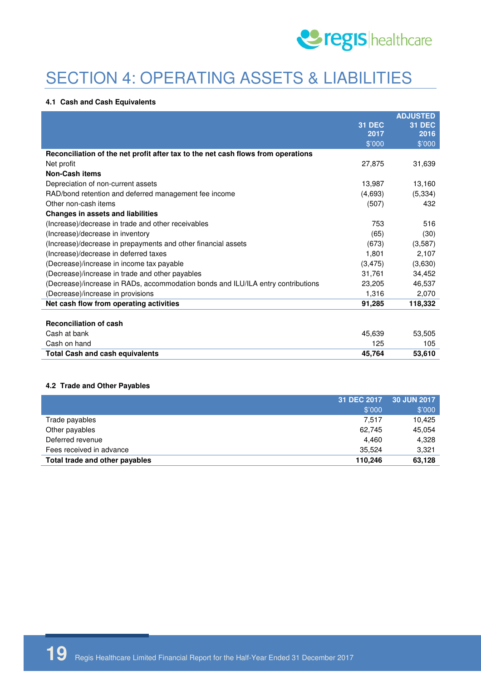

## SECTION 4: OPERATING ASSETS & LIABILITIES

#### **4.1 Cash and Cash Equivalents**

|                                                                                  |               | <b>ADJUSTED</b> |
|----------------------------------------------------------------------------------|---------------|-----------------|
|                                                                                  | <b>31 DEC</b> | <b>31 DEC</b>   |
|                                                                                  | 2017          | 2016            |
|                                                                                  | \$'000        | \$'000          |
| Reconciliation of the net profit after tax to the net cash flows from operations |               |                 |
| Net profit                                                                       | 27,875        | 31,639          |
| <b>Non-Cash items</b>                                                            |               |                 |
| Depreciation of non-current assets                                               | 13,987        | 13,160          |
| RAD/bond retention and deferred management fee income                            | (4,693)       | (5, 334)        |
| Other non-cash items                                                             | (507)         | 432             |
| <b>Changes in assets and liabilities</b>                                         |               |                 |
| (Increase)/decrease in trade and other receivables                               | 753           | 516             |
| (Increase)/decrease in inventory                                                 | (65)          | (30)            |
| (Increase)/decrease in prepayments and other financial assets                    | (673)         | (3,587)         |
| (Increase)/decrease in deferred taxes                                            | 1,801         | 2,107           |
| (Decrease)/increase in income tax payable                                        | (3, 475)      | (3,630)         |
| (Decrease)/increase in trade and other payables                                  | 31,761        | 34,452          |
| (Decrease)/increase in RADs, accommodation bonds and ILU/ILA entry contributions | 23,205        | 46,537          |
| (Decrease)/increase in provisions                                                | 1,316         | 2,070           |
| Net cash flow from operating activities                                          | 91,285        | 118,332         |
|                                                                                  |               |                 |
| <b>Reconciliation of cash</b>                                                    |               |                 |
| Cash at bank                                                                     | 45,639        | 53,505          |
| Cash on hand                                                                     | 125           | 105             |
| <b>Total Cash and cash equivalents</b>                                           | 45,764        | 53,610          |
|                                                                                  |               |                 |

#### **4.2 Trade and Other Payables**

| Total trade and other payables<br>110.246 | 63,128      |
|-------------------------------------------|-------------|
| Fees received in advance<br>35.524        | 3.321       |
| Deferred revenue<br>4.460                 | 4,328       |
| Other payables<br>62.745                  | 45.054      |
| Trade payables<br>7.517                   | 10.425      |
| \$'000                                    | \$'000      |
| 31 DEC 2017                               | 30 JUN 2017 |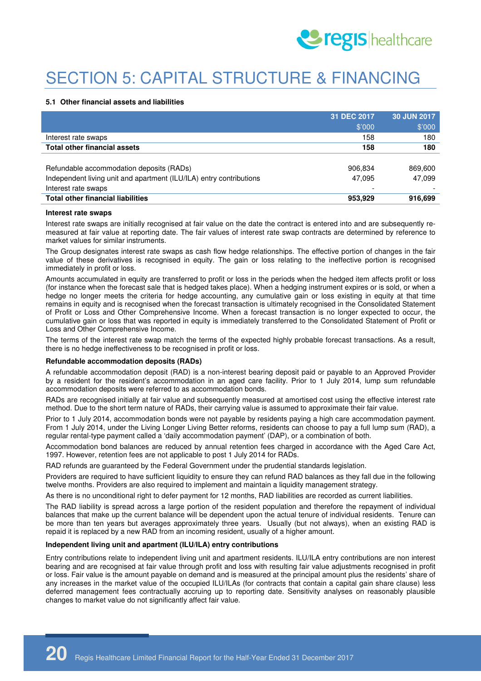

# SECTION 5: CAPITAL STRUCTURE & FINANCING

#### **5.1 Other financial assets and liabilities**

|                                                                     | 31 DEC 2017 | 30 JUN 2017 |
|---------------------------------------------------------------------|-------------|-------------|
|                                                                     | \$'000      | \$'000      |
| Interest rate swaps                                                 | 158         | 180         |
| <b>Total other financial assets</b>                                 | 158         | 180         |
|                                                                     |             |             |
| Refundable accommodation deposits (RADs)                            | 906,834     | 869,600     |
| Independent living unit and apartment (ILU/ILA) entry contributions | 47,095      | 47.099      |
| Interest rate swaps                                                 | -           |             |
| <b>Total other financial liabilities</b>                            | 953,929     | 916,699     |

#### **Interest rate swaps**

Interest rate swaps are initially recognised at fair value on the date the contract is entered into and are subsequently remeasured at fair value at reporting date. The fair values of interest rate swap contracts are determined by reference to market values for similar instruments.

The Group designates interest rate swaps as cash flow hedge relationships. The effective portion of changes in the fair value of these derivatives is recognised in equity. The gain or loss relating to the ineffective portion is recognised immediately in profit or loss.

Amounts accumulated in equity are transferred to profit or loss in the periods when the hedged item affects profit or loss (for instance when the forecast sale that is hedged takes place). When a hedging instrument expires or is sold, or when a hedge no longer meets the criteria for hedge accounting, any cumulative gain or loss existing in equity at that time remains in equity and is recognised when the forecast transaction is ultimately recognised in the Consolidated Statement of Profit or Loss and Other Comprehensive Income. When a forecast transaction is no longer expected to occur, the cumulative gain or loss that was reported in equity is immediately transferred to the Consolidated Statement of Profit or Loss and Other Comprehensive Income.

The terms of the interest rate swap match the terms of the expected highly probable forecast transactions. As a result, there is no hedge ineffectiveness to be recognised in profit or loss.

#### **Refundable accommodation deposits (RADs)**

A refundable accommodation deposit (RAD) is a non-interest bearing deposit paid or payable to an Approved Provider by a resident for the resident's accommodation in an aged care facility. Prior to 1 July 2014, lump sum refundable accommodation deposits were referred to as accommodation bonds.

RADs are recognised initially at fair value and subsequently measured at amortised cost using the effective interest rate method. Due to the short term nature of RADs, their carrying value is assumed to approximate their fair value.

Prior to 1 July 2014, accommodation bonds were not payable by residents paying a high care accommodation payment. From 1 July 2014, under the Living Longer Living Better reforms, residents can choose to pay a full lump sum (RAD), a regular rental-type payment called a 'daily accommodation payment' (DAP), or a combination of both.

Accommodation bond balances are reduced by annual retention fees charged in accordance with the Aged Care Act, 1997. However, retention fees are not applicable to post 1 July 2014 for RADs.

RAD refunds are guaranteed by the Federal Government under the prudential standards legislation.

Providers are required to have sufficient liquidity to ensure they can refund RAD balances as they fall due in the following twelve months. Providers are also required to implement and maintain a liquidity management strategy.

As there is no unconditional right to defer payment for 12 months, RAD liabilities are recorded as current liabilities.

The RAD liability is spread across a large portion of the resident population and therefore the repayment of individual balances that make up the current balance will be dependent upon the actual tenure of individual residents. Tenure can be more than ten years but averages approximately three years. Usually (but not always), when an existing RAD is repaid it is replaced by a new RAD from an incoming resident, usually of a higher amount.

#### **Independent living unit and apartment (ILU/ILA) entry contributions**

Entry contributions relate to independent living unit and apartment residents. ILU/ILA entry contributions are non interest bearing and are recognised at fair value through profit and loss with resulting fair value adjustments recognised in profit or loss. Fair value is the amount payable on demand and is measured at the principal amount plus the residents' share of any increases in the market value of the occupied ILU/ILAs (for contracts that contain a capital gain share clause) less deferred management fees contractually accruing up to reporting date. Sensitivity analyses on reasonably plausible changes to market value do not significantly affect fair value.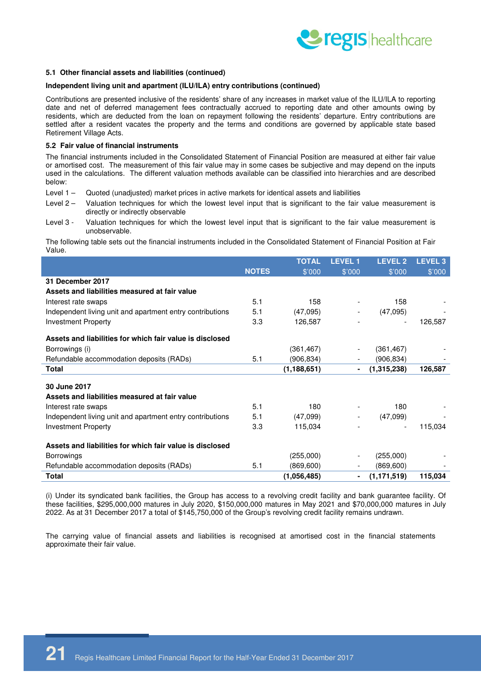

#### **5.1 Other financial assets and liabilities (continued)**

#### **Independent living unit and apartment (ILU/ILA) entry contributions (continued)**

Contributions are presented inclusive of the residents' share of any increases in market value of the ILU/ILA to reporting date and net of deferred management fees contractually accrued to reporting date and other amounts owing by residents, which are deducted from the loan on repayment following the residents' departure. Entry contributions are settled after a resident vacates the property and the terms and conditions are governed by applicable state based Retirement Village Acts.

#### **5.2 Fair value of financial instruments**

The financial instruments included in the Consolidated Statement of Financial Position are measured at either fair value or amortised cost. The measurement of this fair value may in some cases be subjective and may depend on the inputs used in the calculations. The different valuation methods available can be classified into hierarchies and are described below:

- Level 1 Quoted (unadjusted) market prices in active markets for identical assets and liabilities
- Level 2 Valuation techniques for which the lowest level input that is significant to the fair value measurement is directly or indirectly observable
- Level 3 Valuation techniques for which the lowest level input that is significant to the fair value measurement is unobservable.

The following table sets out the financial instruments included in the Consolidated Statement of Financial Position at Fair Value.

|                                                           |              | <b>TOTAL</b>  | <b>LEVEL1</b>  | <b>LEVEL 2</b> | <b>LEVEL 3</b> |
|-----------------------------------------------------------|--------------|---------------|----------------|----------------|----------------|
|                                                           | <b>NOTES</b> | \$'000        | \$'000         | \$'000         | \$'000         |
| 31 December 2017                                          |              |               |                |                |                |
| Assets and liabilities measured at fair value             |              |               |                |                |                |
| Interest rate swaps                                       | 5.1          | 158           |                | 158            |                |
| Independent living unit and apartment entry contributions | 5.1          | (47,095)      |                | (47,095)       |                |
| <b>Investment Property</b>                                | 3.3          | 126,587       |                |                | 126,587        |
| Assets and liabilities for which fair value is disclosed  |              |               |                |                |                |
| Borrowings (i)                                            |              | (361, 467)    | -              | (361, 467)     |                |
| Refundable accommodation deposits (RADs)                  | 5.1          | (906,834)     |                | (906, 834)     |                |
| Total                                                     |              | (1, 188, 651) |                | (1,315,238)    | 126,587        |
| 30 June 2017                                              |              |               |                |                |                |
| Assets and liabilities measured at fair value             |              |               |                |                |                |
| Interest rate swaps                                       | 5.1          | 180           |                | 180            |                |
| Independent living unit and apartment entry contributions | 5.1          | (47,099)      |                | (47,099)       |                |
| <b>Investment Property</b>                                | 3.3          | 115,034       |                |                | 115,034        |
| Assets and liabilities for which fair value is disclosed  |              |               |                |                |                |
| <b>Borrowings</b>                                         |              | (255,000)     |                | (255,000)      |                |
| Refundable accommodation deposits (RADs)                  | 5.1          | (869,600)     |                | (869, 600)     |                |
| Total                                                     |              | (1,056,485)   | $\blacksquare$ | (1, 171, 519)  | 115,034        |

(i) Under its syndicated bank facilities, the Group has access to a revolving credit facility and bank guarantee facility. Of these facilities, \$295,000,000 matures in July 2020, \$150,000,000 matures in May 2021 and \$70,000,000 matures in July 2022. As at 31 December 2017 a total of \$145,750,000 of the Group's revolving credit facility remains undrawn.

The carrying value of financial assets and liabilities is recognised at amortised cost in the financial statements approximate their fair value.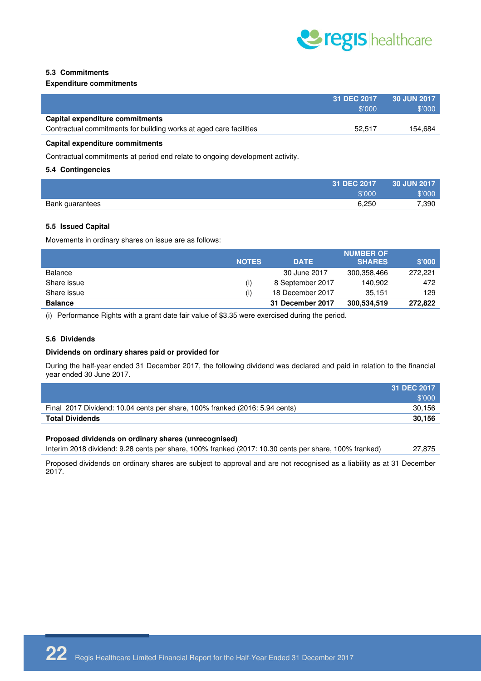

#### **5.3 Commitments**

#### **Expenditure commitments**

|                                                                    | 31 DEC 2017<br>\$'000 | 30 JUN 2017<br>\$'000 |
|--------------------------------------------------------------------|-----------------------|-----------------------|
| Capital expenditure commitments                                    |                       |                       |
| Contractual commitments for building works at aged care facilities | 52.517                | 154.684               |
|                                                                    |                       |                       |

#### **Capital expenditure commitments**

Contractual commitments at period end relate to ongoing development activity.

#### **5.4 Contingencies**

| 31 DEC 2017              | <b>30 JUN 2017</b> |
|--------------------------|--------------------|
| \$'000                   | \$'000             |
| 6,250<br>Bank guarantees | 7,390              |

#### **5.5 Issued Capital**

Movements in ordinary shares on issue are as follows:

|                |              |                  | <b>NUMBER OF</b> |         |
|----------------|--------------|------------------|------------------|---------|
|                | <b>NOTES</b> | <b>DATE</b>      | <b>SHARES</b>    | \$'000' |
| Balance        |              | 30 June 2017     | 300,358,466      | 272.221 |
| Share issue    | (i)          | 8 September 2017 | 140.902          | 472     |
| Share issue    |              | 18 December 2017 | 35.151           | 129     |
| <b>Balance</b> |              | 31 December 2017 | 300,534,519      | 272.822 |

(i) Performance Rights with a grant date fair value of \$3.35 were exercised during the period.

#### **5.6 Dividends**

#### **Dividends on ordinary shares paid or provided for**

During the half-year ended 31 December 2017, the following dividend was declared and paid in relation to the financial year ended 30 June 2017.

|                                                                             | 31 DEC 2017 |
|-----------------------------------------------------------------------------|-------------|
|                                                                             | \$'000'     |
| Final 2017 Dividend: 10.04 cents per share, 100% franked (2016: 5.94 cents) | 30.156      |
| <b>Total Dividends</b>                                                      | 30.156      |

#### **Proposed dividends on ordinary shares (unrecognised)**

Interim 2018 dividend: 9.28 cents per share, 100% franked (2017: 10.30 cents per share, 100% franked) 27,875

Proposed dividends on ordinary shares are subject to approval and are not recognised as a liability as at 31 December 2017.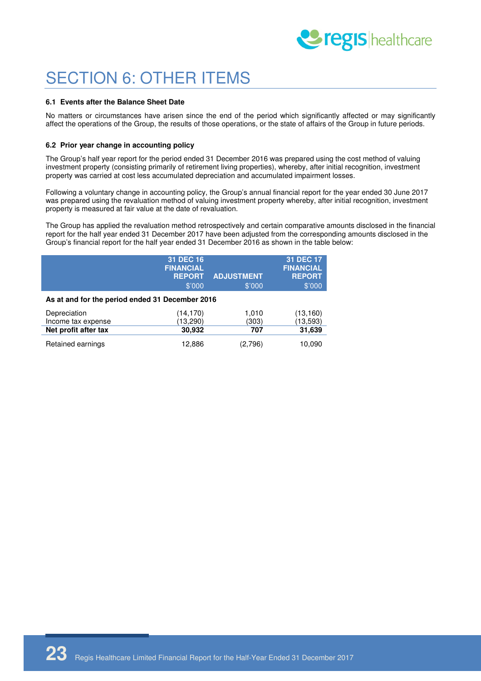

## SECTION 6: OTHER ITEMS

#### **6.1 Events after the Balance Sheet Date**

No matters or circumstances have arisen since the end of the period which significantly affected or may significantly affect the operations of the Group, the results of those operations, or the state of affairs of the Group in future periods.

#### **6.2 Prior year change in accounting policy**

The Group's half year report for the period ended 31 December 2016 was prepared using the cost method of valuing investment property (consisting primarily of retirement living properties), whereby, after initial recognition, investment property was carried at cost less accumulated depreciation and accumulated impairment losses.

Following a voluntary change in accounting policy, the Group's annual financial report for the year ended 30 June 2017 was prepared using the revaluation method of valuing investment property whereby, after initial recognition, investment property is measured at fair value at the date of revaluation.

The Group has applied the revaluation method retrospectively and certain comparative amounts disclosed in the financial report for the half year ended 31 December 2017 have been adjusted from the corresponding amounts disclosed in the Group's financial report for the half year ended 31 December 2016 as shown in the table below:

|                                                 | 31 DEC 16<br><b>FINANCIAL</b><br><b>REPORT</b><br>\$'000 | <b>ADJUSTMENT</b><br>\$'000 | 31 DEC 17<br><b>FINANCIAL</b><br><b>REPORT</b><br>\$'000 |  |  |
|-------------------------------------------------|----------------------------------------------------------|-----------------------------|----------------------------------------------------------|--|--|
| As at and for the period ended 31 December 2016 |                                                          |                             |                                                          |  |  |
| Depreciation                                    | (14,170)                                                 | 1,010                       | (13, 160)                                                |  |  |
| Income tax expense                              | (13,290)                                                 | (303)                       | (13, 593)                                                |  |  |
| Net profit after tax                            | 30,932                                                   | 707                         | 31,639                                                   |  |  |
| Retained earnings                               | 12,886                                                   | (2,796)                     | 10,090                                                   |  |  |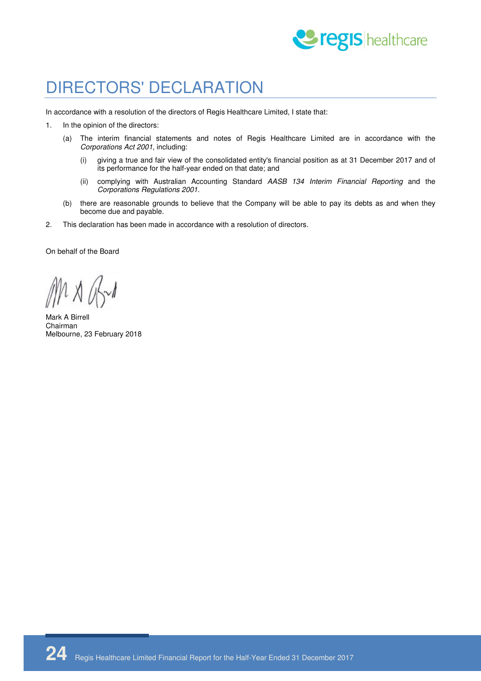

### DIRECTORS' DECLARATION

In accordance with a resolution of the directors of Regis Healthcare Limited, I state that:

- 1. In the opinion of the directors:
	- (a) The interim financial statements and notes of Regis Healthcare Limited are in accordance with the Corporations Act 2001, including:
		- (i) giving a true and fair view of the consolidated entity's financial position as at 31 December 2017 and of its performance for the half-year ended on that date; and
		- (ii) complying with Australian Accounting Standard AASB 134 Interim Financial Reporting and the Corporations Regulations 2001.
	- (b) there are reasonable grounds to believe that the Company will be able to pay its debts as and when they become due and payable.
- 2. This declaration has been made in accordance with a resolution of directors.

On behalf of the Board

1 X (br)

Mark A Birrell Chairman Melbourne, 23 February 2018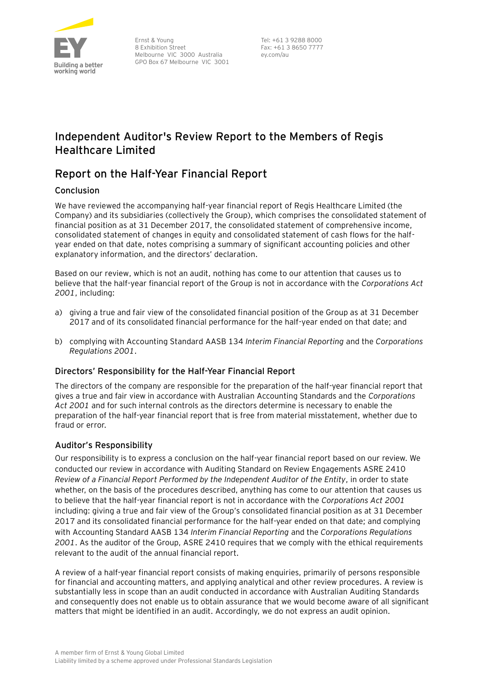

Ernst & Young 8 Exhibition Street Melbourne VIC 3000 Australia GPO Box 67 Melbourne VIC 3001

Tel: +61 3 9288 8000 Fax: +61 3 8650 7777 ey.com/au

### **Independent Auditor's Review Report to the Members of Regis Healthcare Limited**

### **Report on the Half-Year Financial Report**

#### **Conclusion**

We have reviewed the accompanying half-year financial report of Regis Healthcare Limited (the Company) and its subsidiaries (collectively the Group), which comprises the consolidated statement of financial position as at 31 December 2017, the consolidated statement of comprehensive income, consolidated statement of changes in equity and consolidated statement of cash flows for the halfyear ended on that date, notes comprising a summary of significant accounting policies and other explanatory information, and the directors' declaration.

Based on our review, which is not an audit, nothing has come to our attention that causes us to believe that the half-year financial report of the Group is not in accordance with the *Corporations Act 2001*, including:

- a) giving a true and fair view of the consolidated financial position of the Group as at 31 December 2017 and of its consolidated financial performance for the half-year ended on that date; and
- b) complying with Accounting Standard AASB 134 *Interim Financial Reporting* and the *Corporations Regulations 2001*.

#### Directors' Responsibility for the Half-Year Financial Report

The directors of the company are responsible for the preparation of the half-year financial report that gives a true and fair view in accordance with Australian Accounting Standards and the *Corporations Act 2001* and for such internal controls as the directors determine is necessary to enable the preparation of the half-year financial report that is free from material misstatement, whether due to fraud or error.

#### Auditor's Responsibility

Our responsibility is to express a conclusion on the half-year financial report based on our review. We conducted our review in accordance with Auditing Standard on Review Engagements ASRE 2410 *Review of a Financial Report Performed by the Independent Auditor of the Entity*, in order to state whether, on the basis of the procedures described, anything has come to our attention that causes us to believe that the half-year financial report is not in accordance with the *Corporations Act 2001* including: giving a true and fair view of the Group's consolidated financial position as at 31 December 2017 and its consolidated financial performance for the half-year ended on that date; and complying with Accounting Standard AASB 134 *Interim Financial Reporting* and the *Corporations Regulations 2001*. As the auditor of the Group, ASRE 2410 requires that we comply with the ethical requirements relevant to the audit of the annual financial report.

A review of a half-year financial report consists of making enquiries, primarily of persons responsible for financial and accounting matters, and applying analytical and other review procedures. A review is substantially less in scope than an audit conducted in accordance with Australian Auditing Standards and consequently does not enable us to obtain assurance that we would become aware of all significant matters that might be identified in an audit. Accordingly, we do not express an audit opinion.